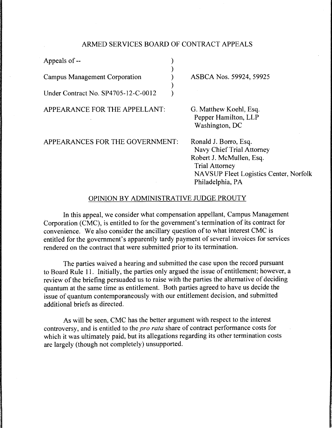# ARMED SERVICES BOARD OF CONTRACT APPEALS

) )  $\lambda$ ) )

Appeals of --

Campus Management Corporation

Under Contract No. SP4705-12-C-0012

APPEARANCE FOR THE APPELLANT:

# APPEARANCES FOR THE GOVERNMENT:

ASBCA Nos. 59924, 59925

G. Matthew Koehl, Esq. Pepper Hamilton, LLP Washington, DC

Ronald J. Borro, Esq. Navy Chief Trial Attorney Robert J. McMullen, Esq. Trial Attorney NA VSUP Fleet Logistics Center, Norfolk Philadelphia, PA

# OPINION BY ADMINISTRATIVE JUDGE PROUTY

In this appeal, we consider what compensation appellant, Campus Management Corporation (CMC), is entitled to for the government's termination of its contract for convenience. We also consider the ancillary question of to what interest CMC is entitled for the government's apparently tardy payment of several invoices for services rendered on the contract that were submitted prior to its termination.

The parties waived a hearing and submitted the case upon the record pursuant to Board Rule 11. Initially, the parties only argued the issue of entitlement; however, a review of the briefing persuaded us to raise with the parties the alternative of deciding quantum at the same time as entitlement. Both parties agreed to have us decide the issue of quantum contemporaneously with our entitlement decision, and submitted additional briefs as directed.

As will be seen, CMC has the better argument with respect to the interest controversy, and is entitled to the *pro rata* share of contract performance costs for which it was ultimately paid, but its allegations regarding its other termination costs are largely (though not completely) unsupported.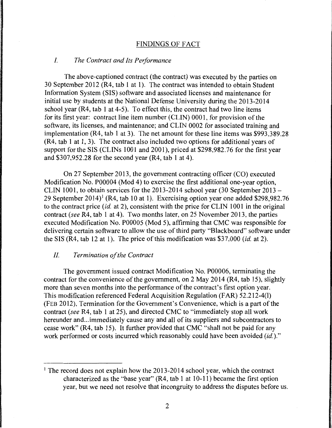#### FINDINGS OF FACT

#### I. *The Contract and Its Performance*

The above-captioned contract (the contract) was executed by the parties on 30 September 2012 (R4, tab 1 at 1 ). The contract was intended to obtain Student Information System (SIS) software and associated licenses and maintenance for initial use by students at the National Defense University during the 2013-2014 school year (R4, tab 1 at 4-5). To effect this, the contract had two line items for its first year: contract line item number (CLIN) 0001, for provision of the software, its licenses, and maintenance; and CLIN 0002 for associated training and implementation (R4, tab 1 at 3). The net amount for these line items was \$993,389.28 (R4, tab I at 1, 3). The contract also included two options for additional years of support for the SIS (CLINs 1001 and 2001), priced at \$298,982.76 for the first year and \$307,952.28 for the second year (R4, tab 1 at 4).

On 27 September 2013, the government contracting officer (CO) executed Modification No. P00004 (Mod 4) to exercise the first additional one-year option, CLIN 1001, to obtain services for the 2013-2014 school year (30 September 2013 - 29 September 2014)<sup>1</sup> (R4, tab 10 at 1). Exercising option year one added \$298,982.76 to the contract price *(id.* at 2), consistent with the price for CLIN 1001 in the original contract *(see* R4, tab 1 at 4). Two months later, on 25 November 2013, the parties executed Modification No. P00005 (Mod 5), affirming that CMC was responsible for delivering certain software to allow the use of third party "Blackboard" software under the SIS (R4, tab 12 at 1). The price of this modification was \$37,000 *(id.* at 2).

# *II. Termination of the Contract*

The government issued contract Modification No. P00006, terminating the contract for the convenience of the government, on 2 May 2014 (R4, tab 15), slightly more than seven months into the performance of the contract's first option year. This modification referenced Federal Acquisition Regulation (FAR) 52.212-4(1) (FEB 2012), Termination for the Government's Convenience, which is a part of the contract *(see* R4, tab 1 at 25), and directed CMC to "immediately stop all work hereunder and ... immediately cause any and all of its suppliers and subcontractors to cease work" (R4, tab 15). It further provided that CMC "shall not be paid for any work performed or costs incurred which reasonably could have been avoided *(id.)."* 

<sup>&</sup>lt;sup>1</sup> The record does not explain how the 2013-2014 school year, which the contract characterized as the "base year"  $(R4, tab 1 at 10-11)$  became the first option year, but we need not resolve that incongruity to address the disputes before us.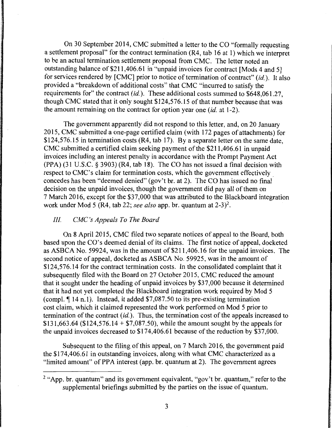On 30 September 2014, CMC submitted a letter to the CO "formally requesting a settlement proposal" for the contract termination (R4, tab 16 at 1) which we interpret to be an actual termination settlement proposal from CMC. The letter noted an outstanding balance of \$211,406.61 in "unpaid invoices for contract [Mods 4 and 5] for services rendered by [CMC] prior to notice of termination of contract" *(id.).* It also provided a "breakdown of additional costs" that CMC "incurred to satisfy the requirements for" the contract *(id.).* These additional costs summed to \$648,061.27, though CMC stated that it only sought \$124,576.15 of that number because that was the amount remaining on the contract for option year one *(id.* at 1-2).

The government apparently did not respond to this letter, and, on 20 January 2015, CMC submitted a one-page certified claim (with 172 pages of attachments) for \$124,576.15 in termination costs (R4, tab 17). By a separate letter on the same date, CMC submitted a certified claim seeking payment of the \$211,406.61 in unpaid invoices including an interest penalty in accordance with the Prompt Payment Act (PPA) (31 U.S.C. § 3903) (R4, tab 18). The CO has not issued a final decision with respect to CMC's claim for termination costs, which the government effectively . concedes has been "deemed denied" (gov't br. at 2). The CO has issued no final decision on the unpaid invoices, though the government did pay all of them on 7 March 2016, except for the \$37,000 that was attributed to the Blackboard integration work under Mod 5 (R4, tab 22; *see also* app. br. quantum at 2-3)2.

#### Ill *CMC's Appeals To The Board*

On 8 April 2015, CMC filed two separate notices of appeal to the Board, both based upon the CO's deemed denial of its claims. The first notice of appeal, docketed as ASBCA No. 59924, was in the amount of \$211,406.16 for the unpaid invoices. The second notice of appeal, docketed as ASBCA No. 59925, was in the amount of \$124,576.14 for the contract termination costs. In the consolidated complaint that it subsequently filed with the Board on 27 October 2015, CMC reduced the amount that it sought under the heading of unpaid invoices by \$3 7 ,000 because it determined that it had not yet completed the Blackboard integration work required by Mod 5 (compl.  $\P$  14 n.l). Instead, it added \$7,087.50 to its pre-existing termination cost claim, which it claimed represented the work performed on Mod 5 prior to termination of the contract *(id.).* Thus, the termination cost of the appeals increased to \$131,663.64 (\$124,576.14 + \$7,087.50), while the amount sought by the appeals for the unpaid invoices decreased to \$174,406.61 because of the reduction by \$37,000.

Subsequent to the filing of this appeal, on 7 March 2016, the government paid the \$174,406.61 in outstanding invoices, along with what CMC characterized as a "limited amount" of PPA interest (app. br. quantum at 2). The government agrees

<sup>&</sup>lt;sup>2</sup> "App. br. quantum" and its government equivalent, "gov't br. quantum," refer to the supplemental briefings submitted by the parties on the issue of quantum.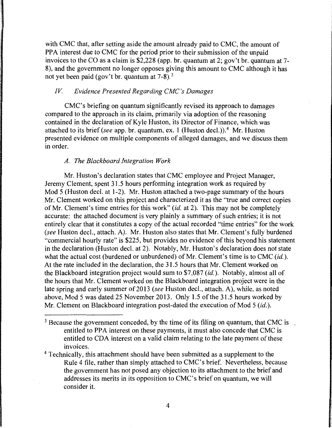with CMC that, after setting aside the amount already paid to CMC, the amount of PPA interest due to CMC for the period prior to their submission of the unpaid invoices to the CO as a claim is \$2,228 (app. br. quantum at 2; gov't br. quantum at 7- 8), and the government no longer opposes giving this amount to CMC although it has not yet been paid (gov't br. quantum at  $7-8$ ).<sup>3</sup>

# *IV Evidence Presented Regarding CMC 's Damages*

CMC's briefing on quantum significantly revised its approach to damages compared to the approach in its claim, primarily via adoption of the reasoning contained in the declaration of Kyle Huston, its Director of Finance, which was attached to its brief *(see* app. br. quantum, ex. 1 (Huston decl.)). 4 Mr. Huston presented evidence on multiple components of alleged damages, and we discuss them in order.

#### *A. The Blackboard Integration Work*

Mr. Huston's declaration states that CMC employee and Project Manager, Jeremy Clement, spent 31.5 hours performing integration work as required by Mod 5 (Huston decl. at 1-2). Mr. Huston attached a two-page summary of the hours Mr. Clement worked on this project and characterized it as the "true and correct copies of Mr. Clement's time entries for this work" *(id.* at 2). This may not be completely accurate: the attached document is very plainly a summary of such entries; it is not entirely clear that it constitutes a copy of the actual recorded "time entries" for the work *(see* Huston decl., attach. A). Mr. Huston also states that Mr. Clement's fully burdened "commercial hourly rate" is \$225, but provides no evidence of this beyond his statement in the declaration (Huston decl. at 2). Notably, Mr. Huston's declaration does not state what the actual cost (burdened or unburdened) of Mr. Clement's time is to CMC *(id.).*  At the rate included in the declaration, the 31.5 hours that Mr. Clement worked on the Blackboard integration project would sum to \$7,087 *(id.).* Notably, almost all of the hours that Mr. Clement worked on the Blackboard integration project were in the late spring and early summer of 2013 *(see* Huston decl., attach. A), while, as noted above, Mod 5 was dated 25 November 2013. Only 1.5 of the 31.5 hours worked by Mr. Clement on Blackboard integration post-dated the execution of Mod 5 *(id.).* 

 $3$  Because the government conceded, by the time of its filing on quantum, that CMC is entitled to PPA interest on these payments, it must also concede that CMC is entitled to CDA interest on a valid claim relating to the late payment of these invoices.

<sup>&</sup>lt;sup>4</sup> Technically, this attachment should have been submitted as a supplement to the Rule 4 file, rather than simply attached to CMC's brief. Nevertheless, because the government has not posed any objection to its attachment to the brief and addresses its merits in its opposition to CMC's brief on quantum, we will consider it.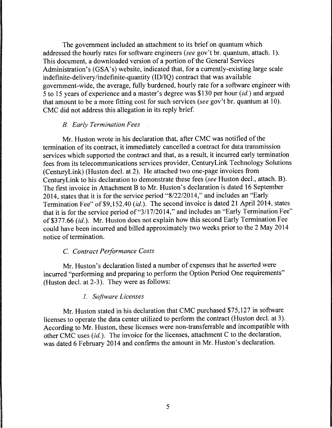The government included an attachment to its brief on quantum which addressed the hourly rates for software engineers *(see* gov't br. quantum, attach. 1). This document, a downloaded version of a portion of the General Services Administration's (GSA's) website, indicated that, for a currently-existing large scale indefinite-delivery/indefinite-quantity (ID/IQ) contract that was available government-wide, the average, fully burdened, hourly rate for a software engineer with 5 to 15 years of experience and a master's degree was \$130 per hour *(id.)* and argued that amount to be a more fitting cost for such services *(see* gov't br. quantum at 10). CMC did not address this allegation in its reply brief.

#### *B. Early Termination Fees*

Mr. Huston wrote in his declaration that, after CMC was notified of the termination of its contract, it immediately cancelled a contract for data transmission services which supported the contract and that, as a result, it incurred early termination fees from its telecommunications services provider, CenturyLink Technology Solutions (CenturyLink) (Huston decl. at 2). He attached two one-page invoices from CenturyLink to his declaration to demonstrate these fees *(see* Huston decl., attach. B). The first invoice in Attachment B to Mr. Huston's declaration is dated 16 September 2014, states that it is for the service period "8/22/2014," and includes an "Early Termination Fee" of \$9,152.40 *(id.)*. The second invoice is dated 21 April 2014, states that it is for the service period of "3/17/2014," and includes an "Early Termination Fee" of \$377.66 *(id.).* Mr. Huston does not explain how this second Early Termination Fee could have been incurred and billed approximately two weeks prior to the 2 May 2014 notice of termination.

# C. *Contract Performance Costs*

Mr. Huston's declaration listed a number of expenses that he asserted were incurred "performing and preparing to perform the Option Period One requirements" (Huston decl. at 2-3). They were as follows:

# *1. Software licenses*

Mr. Huston stated in his declaration that CMC purchased \$75,127 in software licenses to operate the data center utilized to perform the contract (Huston decl. at 3). According to Mr. Huston, these licenses were non-transferrable and incompatible with other CMC uses *(id.).* The invoice for the licenses, attachment C to the declaration, was dated 6 February 2014 and confirms the amount in Mr. Huston's declaration.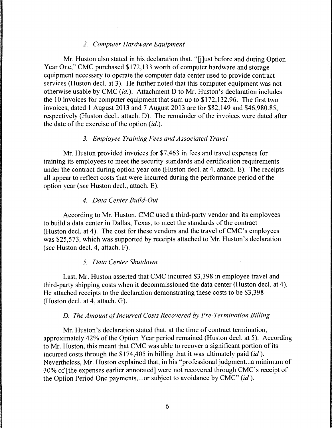# *2. Computer Hardware Equipment*

Mr. Huston also stated in his declaration that, "[j]ust before and during Option Year One," CMC purchased \$172, 133 worth of computer hardware and storage equipment necessary to operate the computer data center used to provide contract services (Huston decl. at 3). He further noted that this computer equipment was not otherwise usable by CMC *(id.).* Attachment D to Mr. Huston's declaration includes the 10 invoices for computer equipment that sum up to \$172, 132.96. The first two invoices, dated 1 August 2013 and 7 August 2013 are for \$82,149 and \$46,980.85, respectively (Huston decl., attach. D). The remainder of the invoices were dated after the date of the exercise of the option *(id.).* 

# *3. Employee Training Fees and Associated Travel*

Mr. Huston provided invoices for \$7,463 in fees and travel expenses for training its employees to meet the security standards and certification requirements under the contract during option year one (Huston decl. at 4, attach. E). The receipts all appear to reflect costs that were incurred during the performance period of the option year (see Huston decl., attach. E).

#### *4. Data Center Build-Out*

According to Mr. Huston, CMC used a third-party vendor and its employees to build a data center in Dallas, Texas, to meet the standards of the contract (Huston decl. at 4). The cost for these vendors and the travel of CMC's employees was \$25,573, which was supported by receipts attached to Mr. Huston's declaration (see Huston decl. 4, attach. F).

#### *5. Data Center Shutdown*

Last, Mr. Huston asserted that CMC incurred \$3,398 in employee travel and third-party shipping costs when it decommissioned the data center (Huston decl. at 4). He attached receipts to the declaration demonstrating these costs to be \$3,398 (Huston decl. at 4, attach. G).

#### *D. The Amount of Incurred Costs Recovered by Pre-Termination Billing*

Mr. Huston's declaration stated that, at the time of contract termination, approximately 42% of the Option Year period remained (Huston decl. at 5). According to Mr. Huston, this meant that CMC was able to recover a significant portion of its incurred costs through the \$174,405 in billing that it was ultimately paid *(id.).*  Nevertheless, Mr. Huston explained that, in his "professional judgment...a minimum of 30% of [the expenses earlier annotated] were not recovered through CMC's receipt of the Option Period One payments, ... or subject to avoidance by CMC" *(id.).*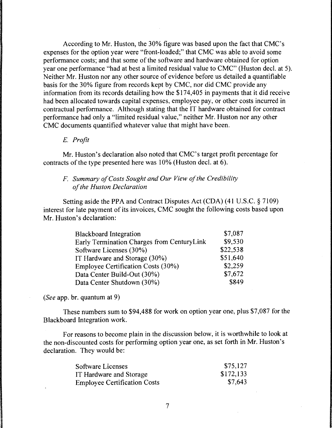According to Mr. Huston, the 30% figure was based upon the fact that CMC's expenses for the option year were "front-loaded;" that CMC was able to avoid some performance costs; and that some of the software and hardware obtained for option year one performance "had at best a limited residual value to CMC" (Huston decl. at 5). Neither Mr. Huston nor any other source of evidence before us detailed a quantifiable basis for the 30% figure from records kept by CMC, nor did CMC provide any information from its records detailing how the \$174,405 in payments that it did receive had been allocated towards capital expenses, employee pay, or other costs incurred in contractual performance. Although stating that the IT hardware obtained for contract performance had only a "limited residual value," neither Mr. Huston nor any other CMC documents quantified whatever value that might have been.

#### E. *Profit*

Mr. Huston's declaration also noted that CMC's target profit percentage for contracts of the type presented here was 10% (Huston decl. at 6).

# *F. Summary of Costs Sought and Our View of the Credibility of the Huston Declaration*

Setting aside the PPA and Contract Disputes Act (CDA) (41 U.S.C. § 7109) interest for late payment of its invoices, CMC sought the following costs based upon Mr. Huston's declaration:

| <b>Blackboard Integration</b>               | \$7,087  |
|---------------------------------------------|----------|
| Early Termination Charges from Century Link | \$9,530  |
| Software Licenses (30%)                     | \$22,538 |
| IT Hardware and Storage (30%)               | \$51,640 |
| Employee Certification Costs (30%)          | \$2.259  |
| Data Center Build-Out (30%)                 | \$7,672  |
| Data Center Shutdown (30%)                  | \$849    |

*(See* app. br. quantum at 9)

These numbers sum to \$94,488 for work on option year one, plus \$7,087 for the Blackboard Integration work.

For reasons to become plain in the discussion below, it is worthwhile to look at the non-discounted costs for performing option year one, as set forth in Mr. Huston's declaration. They would be:

| Software Licenses                   | \$75,127  |
|-------------------------------------|-----------|
| IT Hardware and Storage             | \$172,133 |
| <b>Employee Certification Costs</b> | \$7,643   |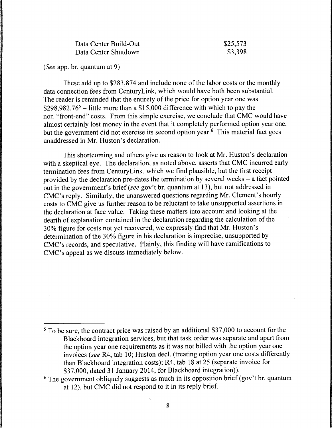| Data Center Build-Out | \$25,573 |
|-----------------------|----------|
| Data Center Shutdown  | \$3,398  |

*(See* app. br. quantum at 9)

These add up to \$283,874 and include none of the labor costs or the monthly data connection fees from CenturyLink, which would have both been substantial. The reader is reminded that the entirety of the price for option year one was \$298,982.76<sup>5</sup> – little more than a \$15,000 difference with which to pay the non-"front-end" costs. From this simple exercise, we conclude that CMC would have almost certainly lost money in the event that it completely performed option year one, but the government did not exercise its second option year.<sup>6</sup> This material fact goes unaddressed in Mr. Huston's declaration.

This shortcoming and others give us reason to look at Mr. Huston's declaration with a skeptical eye. The declaration, as noted above, asserts that CMC incurred early termination fees from CenturyLink, which we find plausible, but the first receipt provided by the declaration pre-dates the termination by several weeks - a fact pointed out in the government's brief *(see* gov't br. quantum at 13), but not addressed in CMC's reply. Similarly, the unanswered questions regarding Mr. Clement's hourly costs to CMC give us further reason to be reluctant to take unsupported assertions in the declaration at face value. Taking these matters into account and looking at the dearth of explanation contained in the declaration regarding the calculation of the 30% figure for costs not yet recovered, we expressly find that Mr. Huston's determination of the 30% figure in his declaration is imprecise, unsupported by CMC's records, and speculative. Plainly, this finding will have ramifications to CMC's appeal as we discuss immediately below.

<sup>&</sup>lt;sup>5</sup> To be sure, the contract price was raised by an additional \$37,000 to account for the Blackboard integration services, but that task order was separate and apart from the option year one requirements as it was not billed with the option year one invoices (see R4, tab 10; Huston decl. (treating option year one costs differently than Blackboard integration costs); R4, tab 18 at 25 (separate invoice for \$37,000, dated 31 January 2014, for Blackboard integration)).

 $6$  The government obliquely suggests as much in its opposition brief (gov't br. quantum at 12), but CMC did not respond to it in its reply brief.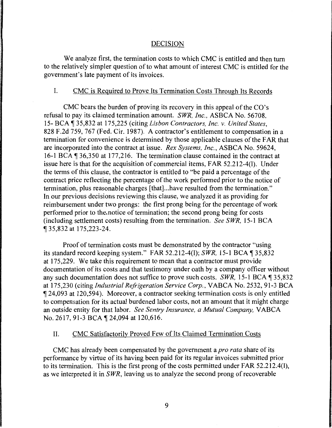#### DECISION

We analyze first, the termination costs to which CMC is entitled and then tum to the relatively simpler question of to what amount of interest CMC is entitled for the government's late payment of its invoices.

# I. CMC is Required to Prove Its Termination Costs Through Its Records

CMC bears the burden of proving its recovery in this appeal of the CO's refusal to pay its claimed termination amount. *SWR, Inc.,* ASBCA No. 56708, 15- BCA ¶ 35,832 at 175,225 (citing *Lisbon Contractors, Inc. v. United States,* 828 F.2d 759, 767 (Fed. Cir. 1987). A contractor's entitlement to compensation in a termination for convenience is determined by those applicable clauses of the FAR that are incorporated into the contract at issue. *Rex Systems, Inc.,* ASBCA No. 59624, 16-1 BCA  $\overline{1}$  36,350 at 177,216. The termination clause contained in the contract at issue here is that for the acquisition of commercial items, FAR 52.212-4(1). Under the terms of this clause, the contractor is entitled to "be paid a percentage of the contract price reflecting the percentage of the work performed prior to the notice of termination, plus reasonable charges [that] ... have resulted from the termination." In our previous decisions reviewing this clause, we analyzed it as providing for reimbursement under two prongs: the first prong being for the percentage of work performed prior to the.notice of termination; the second prong being for costs (including settlement costs) resulting from the termination. *See SWR,* 15-1 BCA ii 35,832 at 175,223-24.

Proof of termination costs must be demonstrated by the contractor "using its standard record keeping system." FAR 52.212-4(1); *SWR*, 15-1 BCA 135,832 at 175,229. We take this requirement to mean that a contractor must provide documentation of its costs and that testimony under oath by a company officer without any such documentation does not suffice to prove such costs. *SWR*, 15-1 BCA 135,832 at 175,230 (citing *Industrial Refrigeration Service Corp.,* VABCA No. 2532, 91-3 BCA 124,093 at 120,594). Moreover, a contractor seeking termination costs is only entitled to compensation for its actual burdened labor costs, not an amount that it might charge an outside entity for that labor. *See Sentry Insurance, a Mutual Company,* VABCA No. 2617, 91-3 BCA | 24,094 at 120,616.

# II. CMC Satisfactorily Proved Few of Its Claimed Termination Costs

CMC has already been compensated by the government a *pro rata* share of its performance by virtue of its having been paid for its regular invoices submitted prior to its termination. This is the first prong of the costs permitted under FAR  $52.212.4(1)$ , as we interpreted it in *SWR,* leaving us to analyze the second prong of recoverable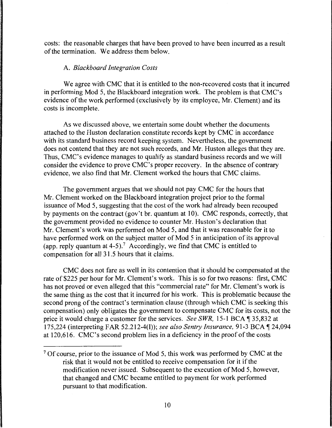costs: the reasonable charges that have been proved to have been incurred as a result of the termination. We address them below.

# A. *Blackboard Integration Costs*

We agree with CMC that it is entitled to the non-recovered costs that it incurred in performing Mod 5, the Blackboard integration work. The problem is that CMC's evidence of the work performed (exclusively by its employee, Mr. Clement) and its costs is incomplete.

As we discussed above, we entertain some doubt whether the documents attached to the Huston declaration constitute records kept by CMC in accordance with its standard business record keeping system. Nevertheless, the government does not contend that they are not such records, and Mr. Huston alleges that they are. Thus, CMC's evidence manages to qualify as standard business records and we will consider the evidence to prove CMC's proper recovery. In the absence of contrary evidence, we also find that Mr. Clement worked the hours that CMC claims.

The government argues that we should not pay CMC for the hours that Mr. Clement worked on the Blackboard integration project prior to the formal issuance of Mod 5, suggesting that the cost of the work had already been recouped by payments on the contract (gov't br. quantum at 10). CMC responds, correctly, that the government provided no evidence to counter Mr. Huston's declaration that Mr. Clement's work was performed on Mod 5, and that it was reasonable for it to have performed work on the subject matter of Mod 5 in anticipation of its approval (app. reply quantum at  $4-5$ ).<sup>7</sup> Accordingly, we find that CMC is entitled to compensation for all 3 1.5 hours that it claims.

CMC does not fare as well in its contention that it should be compensated at the rate of \$225 per hour for Mr. Clement's work. This is so for two reasons: first, CMC has not proved or even alleged that this "commercial rate" for Mr. Clement's work is the same thing as the cost that it incurred for his work. This is problematic because the second prong of the contract's termination clause (through which CMC is seeking this compensation) only obligates the government to compensate CMC for its costs, not the price it would charge a customer for the services. *See SWR*, 15-1 BCA 135,832 at 175,224 (interpreting FAR 52.212-4(1)); *see also Sentry Insurance*, 91-3 BCA 124,094 at 120,616. CMC's second problem lies in a deficiency in the proof of the costs

<sup>&</sup>lt;sup>7</sup> Of course, prior to the issuance of Mod 5, this work was performed by CMC at the risk that it would not be entitled to receive compensation for it if the modification never issued. Subsequent to the execution of Mod 5, however, that changed and CMC became entitled to payment for work performed pursuant to that modification.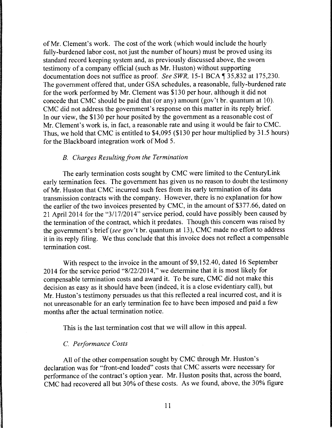of Mr. Clement's work. The cost of the work (which would include the hourly fully-burdened labor cost, not just the number of hours) must be proved using its standard record keeping system and, as previously discussed above, the sworn testimony of a company official (such as Mr. Huston) without supporting documentation does not suffice as proof. *See SWR*, 15-1 BCA ¶ 35,832 at 175,230. The government offered that, under GSA schedules, a reasonable, fully-burdened rate for the work performed by Mr. Clement was \$130 per hour, although it did not concede that CMC should be paid that (or any) amount (gov't br. quantum at 10). CMC did not address the government's response on this matter in its reply brief. In our view, the \$130 per hour posited by the government as a reasonable cost of Mr. Clement's work is, in fact, a reasonable rate and using it would be fair to CMC. Thus, we hold that CMC is entitled to \$4,095 (\$130 per hour multiplied by 31.5 hours) for the Blackboard integration work of Mod 5.

# **B.** Charges Resulting from the Termination

The early termination costs sought by CMC were limited to the CenturyLink early termination fees. The government has given us no reason to doubt the testimony of Mr. Huston that CMC incurred such fees from its early termination of its data transmission contracts with the company. However, there is no explanation for how the earlier of the two invoices presented by CMC, in the amount of \$377.66, dated on 21 April 2014 for the "3/17/2014" service period, could have possibly been caused by the termination of the contract, which it predates. Though this concern was raised by the government's brief *(see* gov't br. quantum at 13), CMC made no effort to address it in its reply filing. We thus conclude that this invoice does not reflect a compensable termination cost.

With respect to the invoice in the amount of \$9, 152.40, dated 16 September 2014 for the service period "8/22/2014," we determine that it is most likely for compensable termination costs and award it. To be sure, CMC did not make this decision as easy as it should have been (indeed, it is a close evidentiary call), but Mr. Huston's testimony persuades us that this reflected a real incurred cost, and it is not unreasonable for an early termination fee to have been imposed and paid a few months after the actual termination notice.

This is the last termination cost that we will allow in this appeal.

# C. *Performance Costs*

All of the other compensation sought by CMC through Mr. Huston's declaration was for "front-end loaded" costs that CMC asserts were necessary for performance of the contract's option year. Mr. Huston posits that, across the board, CMC had recovered all but 30% of these costs. As we found, above, the 30% figure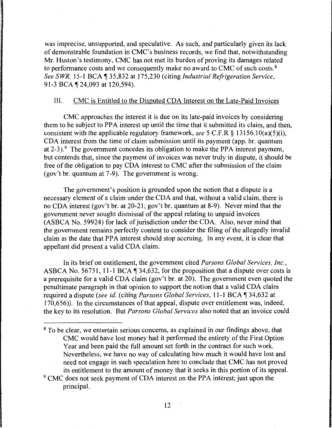was imprecise, unsupported, and speculative. As such, and particularly given its lack of demonstrable foundation in CMC's business records, we find that, notwithstanding Mr. Huston's testimony, CMC has not met its burden of proving its damages related to performance costs and we consequently make no award to CMC of such costs. 8 *See SWR, 15-1 BCA* 135,832 at 175,230 (citing *Industrial Refrigeration Service,* 91-3 BCA ¶ 24,093 at 120,594).

### III. CMC is Entitled to the Disputed CDA Interest on the Late-Paid Invoices

CMC approaches the interest it is due on its late-paid invoices by considering them to be subject to PPA interest up until the time that it submitted its claim, and then, consistent with the applicable regulatory framework, *see* 5 C.F.R § 13156.10(a)(5)(i), CDA interest from the time of claim submission until its payment ( app. br. quantum at 2-3).<sup>9</sup> The government concedes its obligation to make the PPA interest payment, but contends that, since the payment of invoices was never truly in dispute, it should be free of the obligation to pay CDA interest to CMC after the submission of the claim (gov't br. quantum at 7-9). The government is wrong.

The government's position is grounded upon the notion that a dispute is a necessary element of a claim under the CDA and that, without a valid claim, there is no CDA interest (gov't br. at 20-21; gov't br. quantum at 8-9). Never mind that the government never sought dismissal of the appeal relating to unpaid invoices (ASBCA No. 59924) for lack of jurisdiction under the CDA. Also, never mind that the government remains perfectly content to consider the filing of the allegedly invalid claim as the date that PPA interest should stop accruing. In any event, it is clear that appellant did present a valid CDA claim.

In its brief on entitlement, the government cited *Parsons Global Services, Inc.,*  ASBCA No. 56731, 11-1 BCA  $\P$  34,632, for the proposition that a dispute over costs is a prerequisite for a valid CDA claim (gov't br. at 20). The government even quoted the penultimate paragraph in that opinion to support the notion that a valid CDA claim required a dispute (see id. (citing *Parsons Global Services*, 11-1 BCA 134,632 at 170,656)). In the circumstances of that appeal, dispute over entitlement was, indeed, the key to its resolution. But *Parsons Global Services* also noted that an invoice could

<sup>&</sup>lt;sup>8</sup> To be clear, we entertain serious concerns, as explained in our findings above, that CMC would have lost money had it performed the entirety of the First Option Year and been paid the full amount set forth in the contract for such work. Nevertheless, we have no way of calculating how much it would have lost and need not engage in such speculation here to conclude that CMC has not proved its entitlement to the amount of money that it seeks in this portion of its appeal.

<sup>&</sup>lt;sup>9</sup> CMC does not seek payment of CDA interest on the PPA interest; just upon the principal.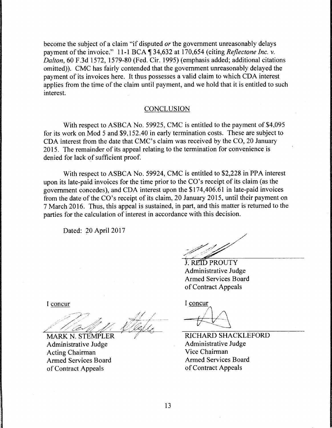become the subject of a claim "if disputed *or* the government unreasonably delays payment of the invoice." 11-1 BCA  $\parallel$  34,632 at 170,654 (citing *Reflectone Inc. v. Dalton,* 60 F .3d 1572, 1579-80 (Fed. Cir. 1995) (emphasis added; additional citations omitted)). CMC has fairly contended that the government unreasonably delayed the payment of its invoices here. It thus possesses a valid claim to which CDA interest applies from the time of the claim until payment, and we hold that it is entitled to such interest.

#### **CONCLUSION**

With respect to ASBCA No. 59925, CMC is entitled to the payment of \$4,095 for its work on Mod 5 and \$9, 152.40 in early termination costs. These are subject to CDA interest from the date that CMC's claim was received by the CO, 20 January 2015. The remainder of its appeal relating to the termination for convenience is denied for lack of sufficient proof.

With respect to ASBCA No. 59924, CMC is entitled to \$2,228 in PPA interest upon its late-paid invoices for the time prior to the CO's receipt of its claim (as the government concedes), and CDA interest upon the \$17 4,406.61 in late-paid invoices from the date of the CO's receipt of its claim, 20 January 2015, until their payment on 7 March 2016. Thus, this appeal is sustained, in part, and this matter is returned to the parties for the calculation of interest in accordance with this decision.

Dated: 20 April 2017

**J. REID PROUTY** Administrative Judge Armed Services Board of Contract Appeals

I concur

MARK N. STEMPLER Administrative Judge Acting Chairman Armed Services Board of Contract Appeals

I concur

~ RICHARD SHACKLEFORD  $\bigcap_{i=1}^{\infty}$ 

Administrative Judge Vice Chairman Armed Services Board of Contract Appeals